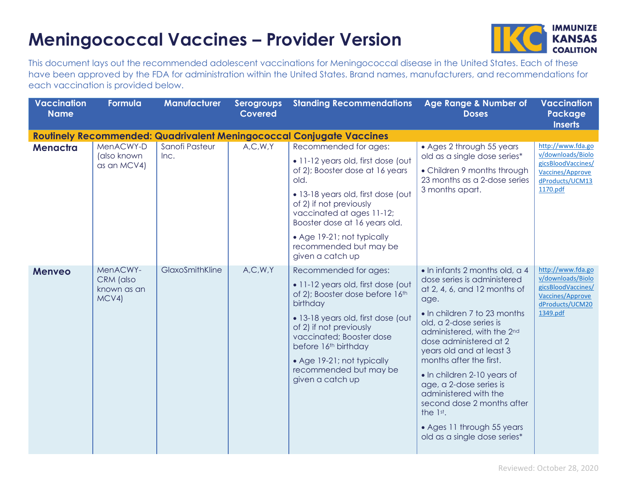## **Meningococcal Vaccines – Provider Version**



This document lays out the recommended adolescent vaccinations for Meningococcal disease in the United States. Each of these have been approved by the FDA for administration within the United States. Brand names, manufacturers, and recommendations for each vaccination is provided below.

| <b>Vaccination</b><br><b>Name</b> | Formula                                      | <b>Manufacturer</b>    | <b>Serogroups</b><br><b>Covered</b> | <b>Standing Recommendations</b>                                                                                                                                                                                                                                                                                                                                                                  | Age Range & Number of<br><b>Doses</b>                                                                                                                                                                                                                                                                                                                                                                                                                                      | <b>Vaccination</b><br>Package<br><b>Inserts</b>                                                                 |
|-----------------------------------|----------------------------------------------|------------------------|-------------------------------------|--------------------------------------------------------------------------------------------------------------------------------------------------------------------------------------------------------------------------------------------------------------------------------------------------------------------------------------------------------------------------------------------------|----------------------------------------------------------------------------------------------------------------------------------------------------------------------------------------------------------------------------------------------------------------------------------------------------------------------------------------------------------------------------------------------------------------------------------------------------------------------------|-----------------------------------------------------------------------------------------------------------------|
| Menactra                          | MenACWY-D<br>(also known<br>as an MCV4)      | Sanofi Pasteur<br>Inc. | A, C, W, Y                          | <b>Routinely Recommended: Quadrivalent Meningococcal Conjugate Vaccines</b><br>Recommended for ages:<br>· 11-12 years old, first dose (out<br>of 2); Booster dose at 16 years<br>old.<br>· 13-18 years old, first dose (out<br>of 2) if not previously<br>vaccinated at ages 11-12;<br>Booster dose at 16 years old.<br>• Age 19-21; not typically<br>recommended but may be<br>given a catch up | • Ages 2 through 55 years<br>old as a single dose series*<br>• Children 9 months through<br>23 months as a 2-dose series<br>3 months apart.                                                                                                                                                                                                                                                                                                                                | http://www.fda.go<br>v/downloads/Biolo<br>gicsBloodVaccines/<br>Vaccines/Approve<br>dProducts/UCM13<br>1170.pdf |
| <b>Menveo</b>                     | MenACWY-<br>CRM (also<br>known as an<br>MCV4 | GlaxoSmithKline        | A, C, W, Y                          | Recommended for ages:<br>· 11-12 years old, first dose (out<br>of 2); Booster dose before 16th<br>birthday<br>· 13-18 years old, first dose (out<br>of 2) if not previously<br>vaccinated; Booster dose<br>before 16th birthday<br>• Age 19-21; not typically<br>recommended but may be<br>given a catch up                                                                                      | • In infants 2 months old, a 4<br>dose series is administered<br>at 2, 4, 6, and 12 months of<br>age.<br>• In children 7 to 23 months<br>old, a 2-dose series is<br>administered, with the 2nd<br>dose administered at 2<br>years old and at least 3<br>months after the first.<br>• In children 2-10 years of<br>age, a 2-dose series is<br>administered with the<br>second dose 2 months after<br>the 1st.<br>• Ages 11 through 55 years<br>old as a single dose series* | http://www.fda.go<br>v/downloads/Biolo<br>gicsBloodVaccines/<br>Vaccines/Approve<br>dProducts/UCM20<br>1349.pdf |